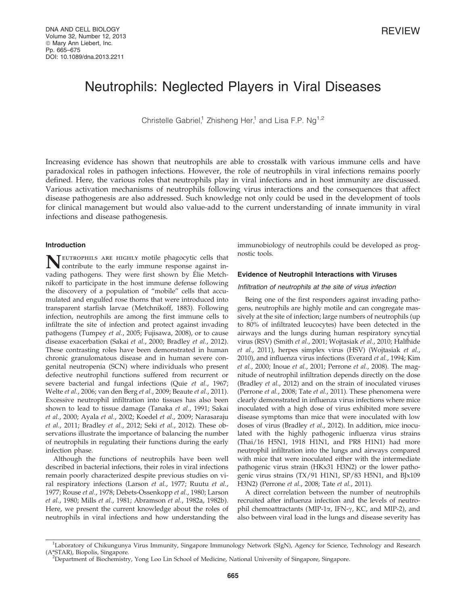# Neutrophils: Neglected Players in Viral Diseases

Christelle Gabriel,<sup>1</sup> Zhisheng Her,<sup>1</sup> and Lisa F.P. Ng<sup>1,2</sup>

Increasing evidence has shown that neutrophils are able to crosstalk with various immune cells and have paradoxical roles in pathogen infections. However, the role of neutrophils in viral infections remains poorly defined. Here, the various roles that neutrophils play in viral infections and in host immunity are discussed. Various activation mechanisms of neutrophils following virus interactions and the consequences that affect disease pathogenesis are also addressed. Such knowledge not only could be used in the development of tools for clinical management but would also value-add to the current understanding of innate immunity in viral infections and disease pathogenesis.

## Introduction

TEUTROPHILS ARE HIGHLY motile phagocytic cells that contribute to the early immune response against invading pathogens. They were first shown by Élie Metchnikoff to participate in the host immune defense following the discovery of a population of ''mobile'' cells that accumulated and engulfed rose thorns that were introduced into transparent starfish larvae (Metchnikoff, 1883). Following infection, neutrophils are among the first immune cells to infiltrate the site of infection and protect against invading pathogens (Tumpey et al., 2005; Fujisawa, 2008), or to cause disease exacerbation (Sakai et al., 2000; Bradley et al., 2012). These contrasting roles have been demonstrated in human chronic granulomatous disease and in human severe congenital neutropenia (SCN) where individuals who present defective neutrophil functions suffered from recurrent or severe bacterial and fungal infections (Quie et al., 1967; Welte et al., 2006; van den Berg et al., 2009; Beaute et al., 2011). Excessive neutrophil infiltration into tissues has also been shown to lead to tissue damage (Tanaka et al., 1991; Sakai et al., 2000; Ayala et al., 2002; Koedel et al., 2009; Narasaraju et al., 2011; Bradley et al., 2012; Seki et al., 2012). These observations illustrate the importance of balancing the number of neutrophils in regulating their functions during the early infection phase.

Although the functions of neutrophils have been well described in bacterial infections, their roles in viral infections remain poorly characterized despite previous studies on viral respiratory infections (Larson et al., 1977; Ruutu et al., 1977; Rouse et al., 1978; Debets-Ossenkopp et al., 1980; Larson et al., 1980; Mills et al., 1981; Abramson et al., 1982a, 1982b). Here, we present the current knowledge about the roles of neutrophils in viral infections and how understanding the

immunobiology of neutrophils could be developed as prognostic tools.

# Evidence of Neutrophil Interactions with Viruses

## Infiltration of neutrophils at the site of virus infection

Being one of the first responders against invading pathogens, neutrophils are highly motile and can congregate massively at the site of infection; large numbers of neutrophils (up to 80% of infiltrated leucocytes) have been detected in the airways and the lungs during human respiratory syncytial virus (RSV) (Smith et al., 2001; Wojtasiak et al., 2010; Halfhide et al., 2011), herpes simplex virus (HSV) (Wojtasiak et al., 2010), and influenza virus infections (Everard et al., 1994; Kim et al., 2000; Inoue et al., 2001; Perrone et al., 2008). The magnitude of neutrophil infiltration depends directly on the dose (Bradley et al., 2012) and on the strain of inoculated viruses (Perrone et al., 2008; Tate et al., 2011). These phenomena were clearly demonstrated in influenza virus infections where mice inoculated with a high dose of virus exhibited more severe disease symptoms than mice that were inoculated with low doses of virus (Bradley et al., 2012). In addition, mice inoculated with the highly pathogenic influenza virus strains (Thai/16 H5N1, 1918 H1N1, and PR8 H1N1) had more neutrophil infiltration into the lungs and airways compared with mice that were inoculated either with the intermediate pathogenic virus strain (HKx31 H3N2) or the lower pathogenic virus strains (TX/91 H1N1, SP/83 H5N1, and BJx109 H3N2) (Perrone et al., 2008; Tate et al., 2011).

A direct correlation between the number of neutrophils recruited after influenza infection and the levels of neutrophil chemoattractants (MIP-1 $\alpha$ , IFN- $\gamma$ , KC, and MIP-2), and also between viral load in the lungs and disease severity has

<sup>&</sup>lt;sup>1</sup>Laboratory of Chikungunya Virus Immunity, Singapore Immunology Network (SIgN), Agency for Science, Technology and Research (A\*STAR), Biopolis, Singapore. <sup>2</sup>

<sup>&</sup>lt;sup>2</sup>Department of Biochemistry, Yong Loo Lin School of Medicine, National University of Singapore, Singapore.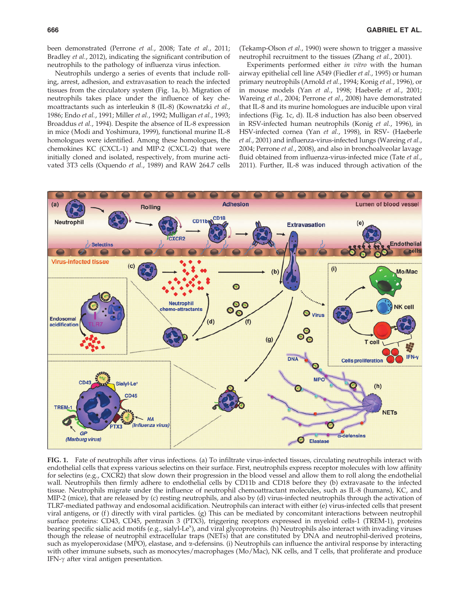been demonstrated (Perrone et al., 2008; Tate et al., 2011; Bradley et al., 2012), indicating the significant contribution of neutrophils to the pathology of influenza virus infection.

(Tekamp-Olson et al., 1990) were shown to trigger a massive neutrophil recruitment to the tissues (Zhang et al., 2001).

Neutrophils undergo a series of events that include rolling, arrest, adhesion, and extravasation to reach the infected tissues from the circulatory system (Fig. 1a, b). Migration of neutrophils takes place under the influence of key chemoattractants such as interleukin 8 (IL-8) (Kownatzki et al., 1986; Endo et al., 1991; Miller et al., 1992; Mulligan et al., 1993; Broaddus et al., 1994). Despite the absence of IL-8 expression in mice (Modi and Yoshimura, 1999), functional murine IL-8 homologues were identified. Among these homologues, the chemokines KC (CXCL-1) and MIP-2 (CXCL-2) that were initially cloned and isolated, respectively, from murine activated 3T3 cells (Oquendo et al., 1989) and RAW 264.7 cells

Experiments performed either in vitro with the human airway epithelial cell line A549 (Fiedler et al., 1995) or human primary neutrophils (Arnold et al., 1994; Konig et al., 1996), or in mouse models (Yan et al., 1998; Haeberle et al., 2001; Wareing et al., 2004; Perrone et al., 2008) have demonstrated that IL-8 and its murine homologues are inducible upon viral infections (Fig. 1c, d). IL-8 induction has also been observed in RSV-infected human neutrophils (Konig et al., 1996), in HSV-infected cornea (Yan et al., 1998), in RSV- (Haeberle et al., 2001) and influenza-virus-infected lungs (Wareing et al., 2004; Perrone et al., 2008), and also in bronchoalveolar lavage fluid obtained from influenza-virus-infected mice (Tate et al., 2011). Further, IL-8 was induced through activation of the



FIG. 1. Fate of neutrophils after virus infections. (a) To infiltrate virus-infected tissues, circulating neutrophils interact with endothelial cells that express various selectins on their surface. First, neutrophils express receptor molecules with low affinity for selectins (e.g., CXCR2) that slow down their progression in the blood vessel and allow them to roll along the endothelial wall. Neutrophils then firmly adhere to endothelial cells by CD11b and CD18 before they (b) extravasate to the infected tissue. Neutrophils migrate under the influence of neutrophil chemoattractant molecules, such as IL-8 (humans), KC, and MIP-2 (mice), that are released by (c) resting neutrophils, and also by (d) virus-infected neutrophils through the activation of TLR7-mediated pathway and endosomal acidification. Neutrophils can interact with either (e) virus-infected cells that present viral antigens, or (f) directly with viral particles. (g) This can be mediated by concomitant interactions between neutrophil surface proteins: CD43, CD45, pentraxin 3 (PTX3), triggering receptors expressed in myeloid cells-1 (TREM-1), proteins bearing specific sialic acid motifs (e.g., sialyl-Le<sup>x</sup>), and viral glycoproteins. (h) Neutrophils also interact with invading viruses though the release of neutrophil extracellular traps (NETs) that are constituted by DNA and neutrophil-derived proteins, such as myeloperoxidase (MPO), elastase, and  $\alpha$ -defensins. (i) Neutrophils can influence the antiviral response by interacting with other immune subsets, such as monocytes/macrophages (Mo/Mac), NK cells, and T cells, that proliferate and produce IFN- $\gamma$  after viral antigen presentation.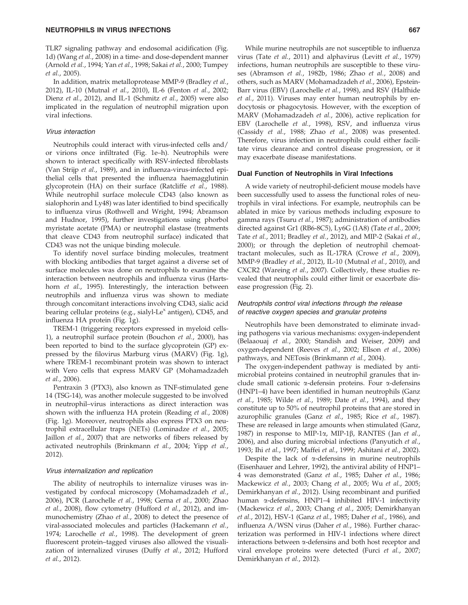TLR7 signaling pathway and endosomal acidification (Fig. 1d) (Wang et al., 2008) in a time- and dose-dependent manner (Arnold et al., 1994; Yan et al., 1998; Sakai et al., 2000; Tumpey et al., 2005).

In addition, matrix metalloprotease MMP-9 (Bradley et al., 2012), IL-10 (Mutnal et al., 2010), IL-6 (Fenton et al., 2002; Dienz et al., 2012), and IL-1 (Schmitz et al., 2005) were also implicated in the regulation of neutrophil migration upon viral infections.

#### Virus interaction

Neutrophils could interact with virus-infected cells and/ or virions once infiltrated (Fig. 1e–h). Neutrophils were shown to interact specifically with RSV-infected fibroblasts (Van Strijp et al., 1989), and in influenza-virus-infected epithelial cells that presented the influenza haemagglutinin glycoprotein (HA) on their surface (Ratcliffe et al., 1988). While neutrophil surface molecule CD43 (also known as sialophorin and Ly48) was later identified to bind specifically to influenza virus (Rothwell and Wright, 1994; Abramson and Hudnor, 1995), further investigations using phorbol myristate acetate (PMA) or neutrophil elastase (treatments that cleave CD43 from neutrophil surface) indicated that CD43 was not the unique binding molecule.

To identify novel surface binding molecules, treatment with blocking antibodies that target against a diverse set of surface molecules was done on neutrophils to examine the interaction between neutrophils and influenza virus (Hartshorn et al., 1995). Interestingly, the interaction between neutrophils and influenza virus was shown to mediate through concomitant interactions involving CD43, sialic acid bearing cellular proteins (e.g., sialyl-Le<sup>x</sup> antigen), CD45, and influenza HA protein (Fig. 1g).

TREM-1 (triggering receptors expressed in myeloid cells-1), a neutrophil surface protein (Bouchon et al., 2000), has been reported to bind to the surface glycoprotein (GP) expressed by the filovirus Marburg virus (MARV) (Fig. 1g), where TREM-1 recombinant protein was shown to interact with Vero cells that express MARV GP (Mohamadzadeh et al., 2006).

Pentraxin 3 (PTX3), also known as TNF-stimulated gene 14 (TSG-14), was another molecule suggested to be involved in neutrophil–virus interactions as direct interaction was shown with the influenza HA protein (Reading et al., 2008) (Fig. 1g). Moreover, neutrophils also express PTX3 on neutrophil extracellular traps (NETs) (Lominadze et al., 2005; Jaillon et al., 2007) that are networks of fibers released by activated neutrophils (Brinkmann et al., 2004; Yipp et al., 2012).

#### Virus internalization and replication

The ability of neutrophils to internalize viruses was investigated by confocal microscopy (Mohamadzadeh et al., 2006), PCR (Larochelle et al., 1998; Gerna et al., 2000; Zhao et al., 2008), flow cytometry (Hufford et al., 2012), and immunochemistry (Zhao et al., 2008) to detect the presence of viral-associated molecules and particles (Hackemann et al., 1974; Larochelle et al., 1998). The development of green fluorescent protein–tagged viruses also allowed the visualization of internalized viruses (Duffy et al., 2012; Hufford et al., 2012).

While murine neutrophils are not susceptible to influenza virus (Tate et al., 2011) and alphavirus (Levitt et al., 1979) infections, human neutrophils are susceptible to these viruses (Abramson et al., 1982b, 1986; Zhao et al., 2008) and others, such as MARV (Mohamadzadeh et al., 2006), Epstein-Barr virus (EBV) (Larochelle et al., 1998), and RSV (Halfhide et al., 2011). Viruses may enter human neutrophils by endocytosis or phagocytosis. However, with the exception of MARV (Mohamadzadeh et al., 2006), active replication for EBV (Larochelle et al., 1998), RSV, and influenza virus (Cassidy et al., 1988; Zhao et al., 2008) was presented. Therefore, virus infection in neutrophils could either facilitate virus clearance and control disease progression, or it may exacerbate disease manifestations.

#### Dual Function of Neutrophils in Viral Infections

A wide variety of neutrophil-deficient mouse models have been successfully used to assess the functional roles of neutrophils in viral infections. For example, neutrophils can be ablated in mice by various methods including exposure to gamma rays (Tsuru et al., 1987); administration of antibodies directed against Gr1 (RB6-8C5), Ly6G (1A8) (Tate et al., 2009; Tate et al., 2011; Bradley et al., 2012), and MIP-2 (Sakai et al., 2000); or through the depletion of neutrophil chemoattractant molecules, such as IL-17RA (Crowe et al., 2009), MMP-9 (Bradley et al., 2012), IL-10 (Mutnal et al., 2010), and CXCR2 (Wareing et al., 2007). Collectively, these studies revealed that neutrophils could either limit or exacerbate disease progression (Fig. 2).

# Neutrophils control viral infections through the release of reactive oxygen species and granular proteins

Neutrophils have been demonstrated to eliminate invading pathogens via various mechanisms: oxygen-independent (Belaaouaj et al., 2000; Standish and Weiser, 2009) and oxygen-dependent (Reeves et al., 2002; Ellson et al., 2006) pathways, and NETosis (Brinkmann et al., 2004).

The oxygen-independent pathway is mediated by antimicrobial proteins contained in neutrophil granules that include small cationic a-defensin proteins. Four a-defensins (HNP1–4) have been identified in human neutrophils (Ganz et al., 1985; Wilde et al., 1989; Date et al., 1994), and they constitute up to 50% of neutrophil proteins that are stored in azurophilic granules (Ganz et al., 1985; Rice et al., 1987). These are released in large amounts when stimulated (Ganz, 1987) in response to MIP-1 $\alpha$ , MIP-1 $\beta$ , RANTES (Jan et al., 2006), and also during microbial infections (Panyutich et al., 1993; Ihi et al., 1997; Maffei et al., 1999; Ashitani et al., 2002).

Despite the lack of  $\alpha$ -defensins in murine neutrophils (Eisenhauer and Lehrer, 1992), the antiviral ability of HNP1– 4 was demonstrated (Ganz et al., 1985; Daher et al., 1986; Mackewicz et al., 2003; Chang et al., 2005; Wu et al., 2005; Demirkhanyan et al., 2012). Using recombinant and purified human  $\alpha$ -defensins, HNP1-4 inhibited HIV-1 infectivity (Mackewicz et al., 2003; Chang et al., 2005; Demirkhanyan et al., 2012), HSV-1 (Ganz et al., 1985; Daher et al., 1986), and influenza A/WSN virus (Daher et al., 1986). Further characterization was performed in HIV-1 infections where direct interactions between a-defensins and both host receptor and viral envelope proteins were detected (Furci et al., 2007; Demirkhanyan et al., 2012).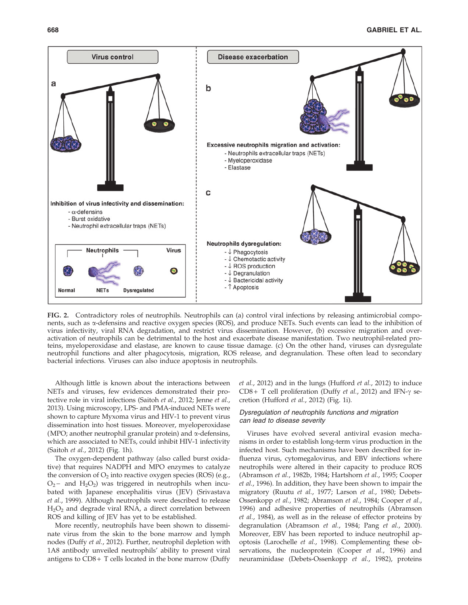

FIG. 2. Contradictory roles of neutrophils. Neutrophils can (a) control viral infections by releasing antimicrobial components, such as  $\alpha$ -defensins and reactive oxygen species (ROS), and produce NETs. Such events can lead to the inhibition of virus infectivity, viral RNA degradation, and restrict virus dissemination. However, (b) excessive migration and overactivation of neutrophils can be detrimental to the host and exacerbate disease manifestation. Two neutrophil-related proteins, myeloperoxidase and elastase, are known to cause tissue damage. (c) On the other hand, viruses can dysregulate neutrophil functions and alter phagocytosis, migration, ROS release, and degranulation. These often lead to secondary bacterial infections. Viruses can also induce apoptosis in neutrophils.

Although little is known about the interactions between NETs and viruses, few evidences demonstrated their protective role in viral infections (Saitoh et al., 2012; Jenne et al., 2013). Using microscopy, LPS- and PMA-induced NETs were shown to capture Myxoma virus and HIV-1 to prevent virus dissemination into host tissues. Moreover, myeloperoxidase (MPO; another neutrophil granular protein) and  $\alpha$ -defensins, which are associated to NETs, could inhibit HIV-1 infectivity (Saitoh et al., 2012) (Fig. 1h).

The oxygen-dependent pathway (also called burst oxidative) that requires NADPH and MPO enzymes to catalyze the conversion of  $O_2$  into reactive oxygen species (ROS) (e.g.,  $O_2$  - and  $H_2O_2$ ) was triggered in neutrophils when incubated with Japanese encephalitis virus (JEV) (Srivastava et al., 1999). Although neutrophils were described to release H2O2 and degrade viral RNA, a direct correlation between ROS and killing of JEV has yet to be established.

More recently, neutrophils have been shown to disseminate virus from the skin to the bone marrow and lymph nodes (Duffy et al., 2012). Further, neutrophil depletion with 1A8 antibody unveiled neutrophils' ability to present viral antigens to  $CD8 + T$  cells located in the bone marrow (Duffy et al., 2012) and in the lungs (Hufford et al., 2012) to induce CD8 + T cell proliferation (Duffy et al., 2012) and IFN- $\gamma$  secretion (Hufford et al., 2012) (Fig. 1i).

# Dysregulation of neutrophils functions and migration can lead to disease severity

Viruses have evolved several antiviral evasion mechanisms in order to establish long-term virus production in the infected host. Such mechanisms have been described for influenza virus, cytomegalovirus, and EBV infections where neutrophils were altered in their capacity to produce ROS (Abramson et al., 1982b, 1984; Hartshorn et al., 1995; Cooper et al., 1996). In addition, they have been shown to impair the migratory (Ruutu et al., 1977; Larson et al., 1980; Debets-Ossenkopp et al., 1982; Abramson et al., 1984; Cooper et al., 1996) and adhesive properties of neutrophils (Abramson et al., 1984), as well as in the release of effector proteins by degranulation (Abramson et al., 1984; Pang et al., 2000). Moreover, EBV has been reported to induce neutrophil apoptosis (Larochelle et al., 1998). Complementing these observations, the nucleoprotein (Cooper et al., 1996) and neuraminidase (Debets-Ossenkopp et al., 1982), proteins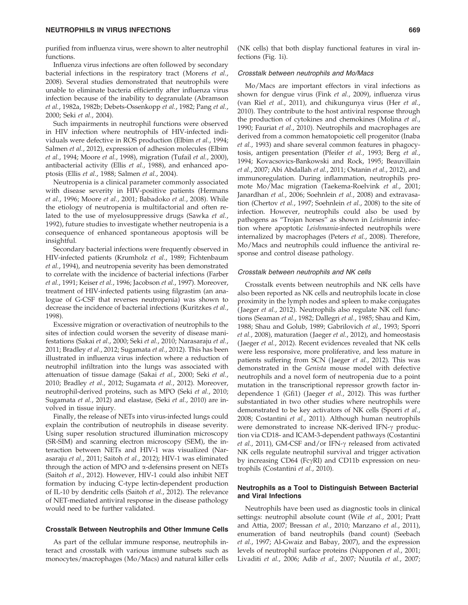purified from influenza virus, were shown to alter neutrophil functions.

Influenza virus infections are often followed by secondary bacterial infections in the respiratory tract (Morens et al., 2008). Several studies demonstrated that neutrophils were unable to eliminate bacteria efficiently after influenza virus infection because of the inability to degranulate (Abramson et al., 1982a, 1982b; Debets-Ossenkopp et al., 1982; Pang et al., 2000; Seki et al., 2004).

Such impairments in neutrophil functions were observed in HIV infection where neutrophils of HIV-infected individuals were defective in ROS production (Elbim et al., 1994; Salmen et al., 2012), expression of adhesion molecules (Elbim et al., 1994; Moore et al., 1998), migration (Tufail et al., 2000), antibacterial activity (Ellis et al., 1988), and enhanced apoptosis (Ellis et al., 1988; Salmen et al., 2004).

Neutropenia is a clinical parameter commonly associated with disease severity in HIV-positive patients (Hermans et al., 1996; Moore et al., 2001; Babadoko et al., 2008). While the etiology of neutropenia is multifactorial and often related to the use of myelosuppressive drugs (Sawka et al., 1992), future studies to investigate whether neutropenia is a consequence of enhanced spontaneous apoptosis will be insightful.

Secondary bacterial infections were frequently observed in HIV-infected patients (Krumholz et al., 1989; Fichtenbaum et al., 1994), and neutropenia severity has been demonstrated to correlate with the incidence of bacterial infections (Farber et al., 1991; Keiser et al., 1996; Jacobson et al., 1997). Moreover, treatment of HIV-infected patients using filgrastim (an analogue of G-CSF that reverses neutropenia) was shown to decrease the incidence of bacterial infections (Kuritzkes et al., 1998).

Excessive migration or overactivation of neutrophils to the sites of infection could worsen the severity of disease manifestations (Sakai et al., 2000; Seki et al., 2010; Narasaraju et al., 2011; Bradley et al., 2012; Sugamata et al., 2012). This has been illustrated in influenza virus infection where a reduction of neutrophil infiltration into the lungs was associated with attenuation of tissue damage (Sakai et al., 2000; Seki et al., 2010; Bradley et al., 2012; Sugamata et al., 2012). Moreover, neutrophil-derived proteins, such as MPO (Seki et al., 2010; Sugamata et al., 2012) and elastase, (Seki et al., 2010) are involved in tissue injury.

Finally, the release of NETs into virus-infected lungs could explain the contribution of neutrophils in disease severity. Using super resolution structured illumination microscopy (SR-SIM) and scanning electron microscopy (SEM), the interaction between NETs and HIV-1 was visualized (Narasaraju et al., 2011; Saitoh et al., 2012); HIV-1 was eliminated through the action of MPO and  $\alpha$ -defensins present on NETs (Saitoh et al., 2012). However, HIV-1 could also inhibit NET formation by inducing C-type lectin-dependent production of IL-10 by dendritic cells (Saitoh et al., 2012). The relevance of NET-mediated antiviral response in the disease pathology would need to be further validated.

#### Crosstalk Between Neutrophils and Other Immune Cells

As part of the cellular immune response, neutrophils interact and crosstalk with various immune subsets such as monocytes/macrophages (Mo/Macs) and natural killer cells (NK cells) that both display functional features in viral infections (Fig. 1i).

## Crosstalk between neutrophils and Mo/Macs

Mo/Macs are important effectors in viral infections as shown for dengue virus (Fink et al., 2009), influenza virus (van Riel et al., 2011), and chikungunya virus (Her et al., 2010). They contribute to the host antiviral response through the production of cytokines and chemokines (Molina et al., 1990; Fauriat et al., 2010). Neutrophils and macrophages are derived from a common hematopoietic cell progenitor (Inaba et al., 1993) and share several common features in phagocytosis, antigen presentation (Pfeifer et al., 1993; Berg et al., 1994; Kovacsovics-Bankowski and Rock, 1995; Beauvillain et al., 2007; Abi Abdallah et al., 2011; Ostanin et al., 2012), and immunoregulation. During inflammation, neutrophils promote Mo/Mac migration (Taekema-Roelvink et al., 2001; Janardhan et al., 2006; Soehnlein et al., 2008) and extravasation (Chertov et al., 1997; Soehnlein et al., 2008) to the site of infection. However, neutrophils could also be used by pathogens as ''Trojan horses'' as shown in Leishmania infection where apoptotic Leishmania-infected neutrophils were internalized by macrophages (Peters et al., 2008). Therefore, Mo/Macs and neutrophils could influence the antiviral response and control disease pathology.

## Crosstalk between neutrophils and NK cells

Crosstalk events between neutrophils and NK cells have also been reported as NK cells and neutrophils locate in close proximity in the lymph nodes and spleen to make conjugates (Jaeger et al., 2012). Neutrophils also regulate NK cell functions (Seaman et al., 1982; Dallegri et al., 1985; Shau and Kim, 1988; Shau and Golub, 1989; Gabrilovich et al., 1993; Sporri et al., 2008), maturation ( Jaeger et al., 2012), and homeostasis (Jaeger et al., 2012). Recent evidences revealed that NK cells were less responsive, more proliferative, and less mature in patients suffering from SCN (Jaeger et al., 2012). This was demonstrated in the Genista mouse model with defective neutrophils and a novel form of neutropenia due to a point mutation in the transcriptional repressor growth factor independence 1 (Gfi1) ( Jaeger et al., 2012). This was further substantiated in two other studies where neutrophils were demonstrated to be key activators of NK cells (Sporri et al., 2008; Costantini et al., 2011). Although human neutrophils were demonstrated to increase NK-derived IFN-g production via CD18- and ICAM-3-dependent pathways (Costantini et al., 2011), GM-CSF and/or IFN- $\gamma$  released from activated NK cells regulate neutrophil survival and trigger activation by increasing CD64 (Fc $\gamma$ RI) and CD11b expression on neutrophils (Costantini et al., 2010).

# Neutrophils as a Tool to Distinguish Between Bacterial and Viral Infections

Neutrophils have been used as diagnostic tools in clinical settings: neutrophil absolute count (Wile et al., 2001; Pratt and Attia, 2007; Bressan et al., 2010; Manzano et al., 2011), enumeration of band neutrophils (band count) (Seebach et al., 1997; Al-Gwaiz and Babay, 2007), and the expression levels of neutrophil surface proteins (Nupponen et al., 2001; Livaditi et al., 2006; Adib et al., 2007; Nuutila et al., 2007;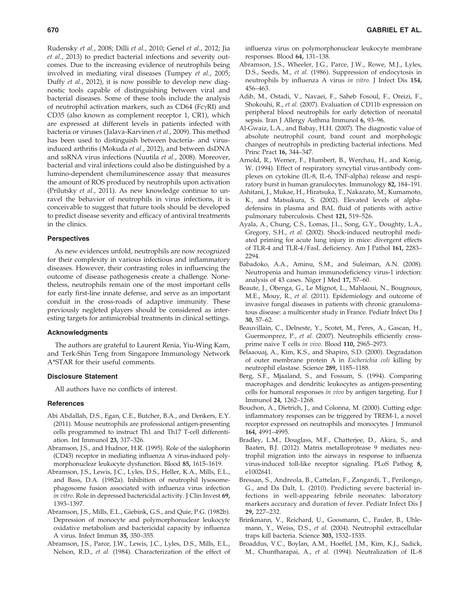Rudensky et al., 2008; Dilli et al., 2010; Genel et al., 2012; Jia et al., 2013) to predict bacterial infections and severity outcomes. Due to the increasing evidence of neutrophils being involved in mediating viral diseases (Tumpey et al., 2005; Duffy et al., 2012), it is now possible to develop new diagnostic tools capable of distinguishing between viral and bacterial diseases. Some of these tools include the analysis of neutrophil activation markers, such as  $CD64$  (Fc $\gamma$ RI) and CD35 (also known as complement receptor 1, CR1), which are expressed at different levels in patients infected with bacteria or viruses ( Jalava-Karvinen et al., 2009). This method has been used to distinguish between bacteria- and virusinduced arthritis (Mokuda et al., 2012), and between dsDNA and ssRNA virus infections (Nuutila et al., 2008). Moreover, bacterial and viral infections could also be distinguished by a lumino-dependent chemiluminescence assay that measures the amount of ROS produced by neutrophils upon activation (Prilutsky et al., 2011). As new knowledge continue to unravel the behavior of neutrophils in virus infections, it is conceivable to suggest that future tools should be developed to predict disease severity and efficacy of antiviral treatments in the clinics.

# **Perspectives**

As new evidences unfold, neutrophils are now recognized for their complexity in various infectious and inflammatory diseases. However, their contrasting roles in influencing the outcome of disease pathogenesis create a challenge. Nonetheless, neutrophils remain one of the most important cells for early first-line innate defense, and serve as an important conduit in the cross-roads of adaptive immunity. These previously negleted players should be considered as interesting targets for antimicrobial treatments in clinical settings.

## Acknowledgments

The authors are grateful to Laurent Renia, Yiu-Wing Kam, and Terk-Shin Teng from Singapore Immunology Network A\*STAR for their useful comments.

#### Disclosure Statement

All authors have no conflicts of interest.

#### **References**

- Abi Abdallah, D.S., Egan, C.E., Butcher, B.A., and Denkers, E.Y. (2011). Mouse neutrophils are professional antigen-presenting cells programmed to instruct Th1 and Th17 T-cell differentiation. Int Immunol 23, 317–326.
- Abramson, J.S., and Hudnor, H.R. (1995). Role of the sialophorin (CD43) receptor in mediating influenza A virus-induced polymorphonuclear leukocyte dysfunction. Blood 85, 1615–1619.
- Abramson, J.S., Lewis, J.C., Lyles, D.S., Heller, K.A., Mills, E.L., and Bass, D.A. (1982a). Inhibition of neutrophil lysosomephagosome fusion associated with influenza virus infection in vitro. Role in depressed bactericidal activity. J Clin Invest 69, 1393–1397.
- Abramson, J.S., Mills, E.L., Giebink, G.S., and Quie, P.G. (1982b). Depression of monocyte and polymorphonuclear leukocyte oxidative metabolism and bactericidal capacity by influenza A virus. Infect Immun 35, 350–355.
- Abramson, J.S., Parce, J.W., Lewis, J.C., Lyles, D.S., Mills, E.L., Nelson, R.D., et al. (1984). Characterization of the effect of

influenza virus on polymorphonuclear leukocyte membrane responses. Blood 64, 131–138.

- Abramson, J.S., Wheeler, J.G., Parce, J.W., Rowe, M.J., Lyles, D.S., Seeds, M., et al. (1986). Suppression of endocytosis in neutrophils by influenza A virus in vitro. J Infect Dis 154, 456–463.
- Adib, M., Ostadi, V., Navaei, F., Saheb Fosoul, F., Oreizi, F., Shokouhi, R., et al. (2007). Evaluation of CD11b expression on peripheral blood neutrophils for early detection of neonatal sepsis. Iran J Allergy Asthma Immunol 6, 93–96.
- Al-Gwaiz, L.A., and Babay, H.H. (2007). The diagnostic value of absolute neutrophil count, band count and morphologic changes of neutrophils in predicting bacterial infections. Med Princ Pract 16, 344–347.
- Arnold, R., Werner, F., Humbert, B., Werchau, H., and Konig, W. (1994). Effect of respiratory syncytial virus-antibody complexes on cytokine (IL-8, IL-6, TNF-alpha) release and respiratory burst in human granulocytes. Immunology 82, 184–191.
- Ashitani, J., Mukae, H., Hiratsuka, T., Nakazato, M., Kumamoto, K., and Matsukura, S. (2002). Elevated levels of alphadefensins in plasma and BAL fluid of patients with active pulmonary tuberculosis. Chest 121, 519–526.
- Ayala, A., Chung, C.S., Lomas, J.L., Song, G.Y., Doughty, L.A., Gregory, S.H., et al. (2002). Shock-induced neutrophil mediated priming for acute lung injury in mice: divergent effects of TLR-4 and TLR-4/FasL deficiency. Am J Pathol 161, 2283– 2294.
- Babadoko, A.A., Aminu, S.M., and Suleiman, A.N. (2008). Neutropenia and human immunodeficiency virus-1 infection: analysis of 43 cases. Niger J Med 17, 57–60.
- Beaute, J., Obenga, G., Le Mignot, L., Mahlaoui, N., Bougnoux, M.E., Mouy, R., et al. (2011). Epidemiology and outcome of invasive fungal diseases in patients with chronic granulomatous disease: a multicenter study in France. Pediatr Infect Dis J 30, 57–62.
- Beauvillain, C., Delneste, Y., Scotet, M., Peres, A., Gascan, H., Guermonprez, P., et al. (2007). Neutrophils efficiently crossprime naive T cells in vivo. Blood 110, 2965–2973.
- Belaaouaj, A., Kim, K.S., and Shapiro, S.D. (2000). Degradation of outer membrane protein A in Escherichia coli killing by neutrophil elastase. Science 289, 1185–1188.
- Berg, S.F., Mjaaland, S., and Fossum, S. (1994). Comparing macrophages and dendritic leukocytes as antigen-presenting cells for humoral responses in vivo by antigen targeting. Eur J Immunol 24, 1262–1268.
- Bouchon, A., Dietrich, J., and Colonna, M. (2000). Cutting edge: inflammatory responses can be triggered by TREM-1, a novel receptor expressed on neutrophils and monocytes. J Immunol 164, 4991–4995.
- Bradley, L.M., Douglass, M.F., Chatterjee, D., Akira, S., and Baaten, B.J. (2012). Matrix metalloprotease 9 mediates neutrophil migration into the airways in response to influenza virus-induced toll-like receptor signaling. PLoS Pathog 8, e1002641.
- Bressan, S., Andreola, B., Cattelan, F., Zangardi, T., Perilongo, G., and Da Dalt, L. (2010). Predicting severe bacterial infections in well-appearing febrile neonates: laboratory markers accuracy and duration of fever. Pediatr Infect Dis J 29, 227–232.
- Brinkmann, V., Reichard, U., Goosmann, C., Fauler, B., Uhlemann, Y., Weiss, D.S., et al. (2004). Neutrophil extracellular traps kill bacteria. Science 303, 1532–1535.
- Broaddus, V.C., Boylan, A.M., Hoeffel, J.M., Kim, K.J., Sadick, M., Chuntharapai, A., et al. (1994). Neutralization of IL-8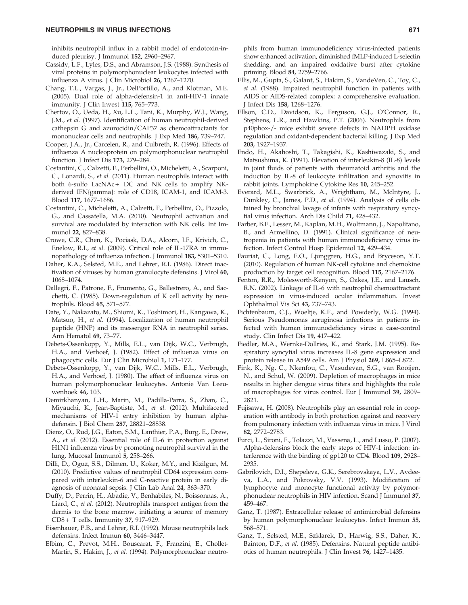inhibits neutrophil influx in a rabbit model of endotoxin-induced pleurisy. J Immunol 152, 2960–2967.

- Cassidy, L.F., Lyles, D.S., and Abramson, J.S. (1988). Synthesis of viral proteins in polymorphonuclear leukocytes infected with influenza A virus. J Clin Microbiol 26, 1267–1270.
- Chang, T.L., Vargas, J., Jr., DelPortillo, A., and Klotman, M.E. (2005). Dual role of alpha-defensin-1 in anti-HIV-1 innate immunity. J Clin Invest 115, 765–773.
- Chertov, O., Ueda, H., Xu, L.L., Tani, K., Murphy, W.J., Wang, J.M., et al. (1997). Identification of human neutrophil-derived cathepsin G and azurocidin/CAP37 as chemoattractants for mononuclear cells and neutrophils. J Exp Med 186, 739–747.
- Cooper, J.A., Jr., Carcelen, R., and Culbreth, R. (1996). Effects of influenza A nucleoprotein on polymorphonuclear neutrophil function. J Infect Dis 173, 279–284.
- Costantini, C., Calzetti, F., Perbellini, O., Micheletti, A., Scarponi, C., Lonardi, S., et al. (2011). Human neutrophils interact with both 6-sulfo LacNAc+ DC and NK cells to amplify NKderived IFN{gamma}: role of CD18, ICAM-1, and ICAM-3. Blood 117, 1677–1686.
- Costantini, C., Micheletti, A., Calzetti, F., Perbellini, O., Pizzolo, G., and Cassatella, M.A. (2010). Neutrophil activation and survival are modulated by interaction with NK cells. Int Immunol 22, 827–838.
- Crowe, C.R., Chen, K., Pociask, D.A., Alcorn, J.F., Krivich, C., Enelow, R.I., et al. (2009). Critical role of IL-17RA in immunopathology of influenza infection. J Immunol 183, 5301–5310.
- Daher, K.A., Selsted, M.E., and Lehrer, R.I. (1986). Direct inactivation of viruses by human granulocyte defensins. J Virol 60, 1068–1074.
- Dallegri, F., Patrone, F., Frumento, G., Ballestrero, A., and Sacchetti, C. (1985). Down-regulation of K cell activity by neutrophils. Blood 65, 571–577.
- Date, Y., Nakazato, M., Shiomi, K., Toshimori, H., Kangawa, K., Matsuo, H., et al. (1994). Localization of human neutrophil peptide (HNP) and its messenger RNA in neutrophil series. Ann Hematol 69, 73–77.
- Debets-Ossenkopp, Y., Mills, E.L., van Dijk, W.C., Verbrugh, H.A., and Verhoef, J. (1982). Effect of influenza virus on phagocytic cells. Eur J Clin Microbiol 1, 171–177.
- Debets-Ossenkopp, Y., van Dijk, W.C., Mills, E.L., Verbrugh, H.A., and Verhoef, J. (1980). The effect of influenza virus on human polymorphonuclear leukocytes. Antonie Van Leeuwenhoek 46, 103.
- Demirkhanyan, L.H., Marin, M., Padilla-Parra, S., Zhan, C., Miyauchi, K., Jean-Baptiste, M., et al. (2012). Multifaceted mechanisms of HIV-1 entry inhibition by human alphadefensin. J Biol Chem 287, 28821–28838.
- Dienz, O., Rud, J.G., Eaton, S.M., Lanthier, P.A., Burg, E., Drew, A., et al. (2012). Essential role of IL-6 in protection against H1N1 influenza virus by promoting neutrophil survival in the lung. Mucosal Immunol 5, 258–266.
- Dilli, D., Oguz, S.S., Dilmen, U., Koker, M.Y., and Kizilgun, M. (2010). Predictive values of neutrophil CD64 expression compared with interleukin-6 and C-reactive protein in early diagnosis of neonatal sepsis. J Clin Lab Anal 24, 363–370.
- Duffy, D., Perrin, H., Abadie, V., Benhabiles, N., Boissonnas, A., Liard, C., et al. (2012). Neutrophils transport antigen from the dermis to the bone marrow, initiating a source of memory CD8 + T cells. Immunity 37, 917–929.
- Eisenhauer, P.B., and Lehrer, R.I. (1992). Mouse neutrophils lack defensins. Infect Immun 60, 3446–3447.
- Elbim, C., Prevot, M.H., Bouscarat, F., Franzini, E., Chollet-Martin, S., Hakim, J., et al. (1994). Polymorphonuclear neutro-

phils from human immunodeficiency virus-infected patients show enhanced activation, diminished fMLP-induced L-selectin shedding, and an impaired oxidative burst after cytokine priming. Blood 84, 2759–2766.

- Ellis, M., Gupta, S., Galant, S., Hakim, S., VandeVen, C., Toy, C., et al. (1988). Impaired neutrophil function in patients with AIDS or AIDS-related complex: a comprehensive evaluation. J Infect Dis 158, 1268–1276.
- Ellson, C.D., Davidson, K., Ferguson, G.J., O'Connor, R., Stephens, L.R., and Hawkins, P.T. (2006). Neutrophils from p40phox-/- mice exhibit severe defects in NADPH oxidase regulation and oxidant-dependent bacterial killing. J Exp Med 203, 1927–1937.
- Endo, H., Akahoshi, T., Takagishi, K., Kashiwazaki, S., and Matsushima, K. (1991). Elevation of interleukin-8 (IL-8) levels in joint fluids of patients with rheumatoid arthritis and the induction by IL-8 of leukocyte infiltration and synovitis in rabbit joints. Lymphokine Cytokine Res 10, 245–252.
- Everard, M.L., Swarbrick, A., Wrightham, M., McIntyre, J., Dunkley, C., James, P.D., et al. (1994). Analysis of cells obtained by bronchial lavage of infants with respiratory syncytial virus infection. Arch Dis Child 71, 428–432.
- Farber, B.F., Lesser, M., Kaplan, M.H., Woltmann, J., Napolitano, B., and Armellino, D. (1991). Clinical significance of neutropenia in patients with human immunodeficiency virus infection. Infect Control Hosp Epidemiol 12, 429–434.
- Fauriat, C., Long, E.O., Ljunggren, H.G., and Bryceson, Y.T. (2010). Regulation of human NK-cell cytokine and chemokine production by target cell recognition. Blood 115, 2167–2176.
- Fenton, R.R., Molesworth-Kenyon, S., Oakes, J.E., and Lausch, R.N. (2002). Linkage of IL-6 with neutrophil chemoattractant expression in virus-induced ocular inflammation. Invest Ophthalmol Vis Sci 43, 737–743.
- Fichtenbaum, C.J., Woeltje, K.F., and Powderly, W.G. (1994). Serious Pseudomonas aeruginosa infections in patients infected with human immunodeficiency virus: a case-control study. Clin Infect Dis 19, 417–422.
- Fiedler, M.A., Wernke-Dollries, K., and Stark, J.M. (1995). Respiratory syncytial virus increases IL-8 gene expression and protein release in A549 cells. Am J Physiol 269, L865–L872.
- Fink, K., Ng, C., Nkenfou, C., Vasudevan, S.G., van Rooijen, N., and Schul, W. (2009). Depletion of macrophages in mice results in higher dengue virus titers and highlights the role of macrophages for virus control. Eur J Immunol 39, 2809– 2821.
- Fujisawa, H. (2008). Neutrophils play an essential role in cooperation with antibody in both protection against and recovery from pulmonary infection with influenza virus in mice. J Virol 82, 2772–2783.
- Furci, L., Sironi, F., Tolazzi, M., Vassena, L., and Lusso, P. (2007). Alpha-defensins block the early steps of HIV-1 infection: interference with the binding of gp120 to CD4. Blood 109, 2928– 2935.
- Gabrilovich, D.I., Shepeleva, G.K., Serebrovskaya, L.V., Avdeeva, L.A., and Pokrovsky, V.V. (1993). Modification of lymphocyte and monocyte functional activity by polymorphonuclear neutrophils in HIV infection. Scand J Immunol 37, 459–467.
- Ganz, T. (1987). Extracellular release of antimicrobial defensins by human polymorphonuclear leukocytes. Infect Immun 55, 568–571.
- Ganz, T., Selsted, M.E., Szklarek, D., Harwig, S.S., Daher, K., Bainton, D.F., et al. (1985). Defensins. Natural peptide antibiotics of human neutrophils. J Clin Invest 76, 1427–1435.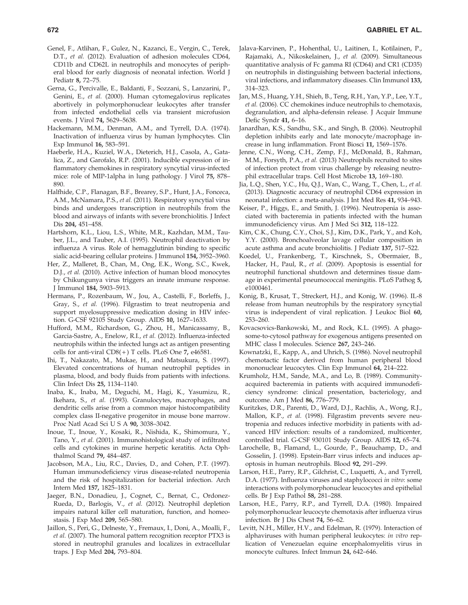- Genel, F., Atlihan, F., Gulez, N., Kazanci, E., Vergin, C., Terek, D.T., et al. (2012). Evaluation of adhesion molecules CD64, CD11b and CD62L in neutrophils and monocytes of peripheral blood for early diagnosis of neonatal infection. World J Pediatr 8, 72–75.
- Gerna, G., Percivalle, E., Baldanti, F., Sozzani, S., Lanzarini, P., Genini, E., et al. (2000). Human cytomegalovirus replicates abortively in polymorphonuclear leukocytes after transfer from infected endothelial cells via transient microfusion events. J Virol 74, 5629–5638.
- Hackemann, M.M., Denman, A.M., and Tyrrell, D.A. (1974). Inactivation of influenza virus by human lymphocytes. Clin Exp Immunol 16, 583–591.
- Haeberle, H.A., Kuziel, W.A., Dieterich, H.J., Casola, A., Gatalica, Z., and Garofalo, R.P. (2001). Inducible expression of inflammatory chemokines in respiratory syncytial virus-infected mice: role of MIP-1alpha in lung pathology. J Virol 75, 878– 890.
- Halfhide, C.P., Flanagan, B.F., Brearey, S.P., Hunt, J.A., Fonceca, A.M., McNamara, P.S., et al. (2011). Respiratory syncytial virus binds and undergoes transcription in neutrophils from the blood and airways of infants with severe bronchiolitis. J Infect Dis 204, 451–458.
- Hartshorn, K.L., Liou, L.S., White, M.R., Kazhdan, M.M., Tauber, J.L., and Tauber, A.I. (1995). Neutrophil deactivation by influenza A virus. Role of hemagglutinin binding to specific sialic acid-bearing cellular proteins. J Immunol 154, 3952–3960.
- Her, Z., Malleret, B., Chan, M., Ong, E.K., Wong, S.C., Kwek, D.J., et al. (2010). Active infection of human blood monocytes by Chikungunya virus triggers an innate immune response. J Immunol 184, 5903–5913.
- Hermans, P., Rozenbaum, W., Jou, A., Castelli, F., Borleffs, J., Gray, S., et al. (1996). Filgrastim to treat neutropenia and support myelosuppressive medication dosing in HIV infection. G-CSF 92105 Study Group. AIDS 10, 1627–1633.
- Hufford, M.M., Richardson, G., Zhou, H., Manicassamy, B., Garcia-Sastre, A., Enelow, R.I., et al. (2012). Influenza-infected neutrophils within the infected lungs act as antigen presenting cells for anti-viral  $CD8(+)$  T cells. PLoS One 7, e46581.
- Ihi, T., Nakazato, M., Mukae, H., and Matsukura, S. (1997). Elevated concentrations of human neutrophil peptides in plasma, blood, and body fluids from patients with infections. Clin Infect Dis 25, 1134–1140.
- Inaba, K., Inaba, M., Deguchi, M., Hagi, K., Yasumizu, R., Ikehara, S., et al. (1993). Granulocytes, macrophages, and dendritic cells arise from a common major histocompatibility complex class II-negative progenitor in mouse bone marrow. Proc Natl Acad Sci U S A 90, 3038–3042.
- Inoue, T., Inoue, Y., Kosaki, R., Nishida, K., Shimomura, Y., Tano, Y., et al. (2001). Immunohistological study of infiltrated cells and cytokines in murine herpetic keratitis. Acta Ophthalmol Scand 79, 484–487.
- Jacobson, M.A., Liu, R.C., Davies, D., and Cohen, P.T. (1997). Human immunodeficiency virus disease-related neutropenia and the risk of hospitalization for bacterial infection. Arch Intern Med 157, 1825–1831.
- Jaeger, B.N., Donadieu, J., Cognet, C., Bernat, C., Ordonez-Rueda, D., Barlogis, V., et al. (2012). Neutrophil depletion impairs natural killer cell maturation, function, and homeostasis. J Exp Med 209, 565–580.
- Jaillon, S., Peri, G., Delneste, Y., Fremaux, I., Doni, A., Moalli, F., et al. (2007). The humoral pattern recognition receptor PTX3 is stored in neutrophil granules and localizes in extracellular traps. J Exp Med 204, 793–804.
- Jalava-Karvinen, P., Hohenthal, U., Laitinen, I., Kotilainen, P., Rajamaki, A., Nikoskelainen, J., et al. (2009). Simultaneous quantitative analysis of Fc gamma RI (CD64) and CR1 (CD35) on neutrophils in distinguishing between bacterial infections, viral infections, and inflammatory diseases. Clin Immunol 133, 314–323.
- Jan, M.S., Huang, Y.H., Shieh, B., Teng, R.H., Yan, Y.P., Lee, Y.T., et al. (2006). CC chemokines induce neutrophils to chemotaxis, degranulation, and alpha-defensin release. J Acquir Immune Defic Syndr 41, 6–16.
- Janardhan, K.S., Sandhu, S.K., and Singh, B. (2006). Neutrophil depletion inhibits early and late monocyte/macrophage increase in lung inflammation. Front Biosci 11, 1569–1576.
- Jenne, C.N., Wong, C.H., Zemp, F.J., McDonald, B., Rahman, M.M., Forsyth, P.A., et al. (2013) Neutrophils recruited to sites of infection protect from virus challenge by releasing neutrophil extracellular traps. Cell Host Microbe 13, 169–180.
- Jia, L.Q., Shen, Y.C., Hu, Q.J., Wan, C., Wang, T., Chen, L., et al. (2013). Diagnostic accuracy of neutrophil CD64 expression in neonatal infection: a meta-analysis. J Int Med Res 41, 934–943.
- Keiser, P., Higgs, E., and Smith, J. (1996). Neutropenia is associated with bacteremia in patients infected with the human immunodeficiency virus. Am J Med Sci 312, 118–122.
- Kim, C.K., Chung, C.Y., Choi, S.J., Kim, D.K., Park, Y., and Koh, Y.Y. (2000). Bronchoalveolar lavage cellular composition in acute asthma and acute bronchiolitis. J Pediatr 137, 517–522.
- Koedel, U., Frankenberg, T., Kirschnek, S., Obermaier, B., Hacker, H., Paul, R., et al. (2009). Apoptosis is essential for neutrophil functional shutdown and determines tissue damage in experimental pneumococcal meningitis. PLoS Pathog 5, e1000461.
- Konig, B., Krusat, T., Streckert, H.J., and Konig, W. (1996). IL-8 release from human neutrophils by the respiratory syncytial virus is independent of viral replication. J Leukoc Biol 60, 253–260.
- Kovacsovics-Bankowski, M., and Rock, K.L. (1995). A phagosome-to-cytosol pathway for exogenous antigens presented on MHC class I molecules. Science 267, 243–246.
- Kownatzki, E., Kapp, A., and Uhrich, S. (1986). Novel neutrophil chemotactic factor derived from human peripheral blood mononuclear leucocytes. Clin Exp Immunol 64, 214–222.
- Krumholz, H.M., Sande, M.A., and Lo, B. (1989). Communityacquired bacteremia in patients with acquired immunodeficiency syndrome: clinical presentation, bacteriology, and outcome. Am J Med 86, 776–779.
- Kuritzkes, D.R., Parenti, D., Ward, D.J., Rachlis, A., Wong, R.J., Mallon, K.P., et al. (1998). Filgrastim prevents severe neutropenia and reduces infective morbidity in patients with advanced HIV infection: results of a randomized, multicenter, controlled trial. G-CSF 930101 Study Group. AIDS 12, 65–74.
- Larochelle, B., Flamand, L., Gourde, P., Beauchamp, D., and Gosselin, J. (1998). Epstein-Barr virus infects and induces apoptosis in human neutrophils. Blood 92, 291–299.
- Larson, H.E., Parry, R.P., Gilchrist, C., Luquetti, A., and Tyrrell, D.A. (1977). Influenza viruses and staphylococci in vitro: some interactions with polymorphonuclear leucocytes and epithelial cells. Br J Exp Pathol 58, 281–288.
- Larson, H.E., Parry, R.P., and Tyrrell, D.A. (1980). Impaired polymorphonuclear leucocyte chemotaxis after influenza virus infection. Br J Dis Chest 74, 56–62.
- Levitt, N.H., Miller, H.V., and Edelman, R. (1979). Interaction of alphaviruses with human peripheral leukocytes: in vitro replication of Venezuelan equine encephalomyelitis virus in monocyte cultures. Infect Immun 24, 642–646.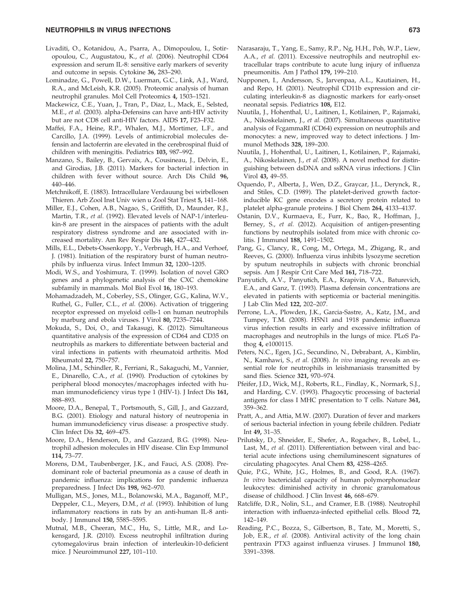## NEUTROPHILS IN VIRUS INFECTIONS 673

- Livaditi, O., Kotanidou, A., Psarra, A., Dimopoulou, I., Sotiropoulou, C., Augustatou, K., et al. (2006). Neutrophil CD64 expression and serum IL-8: sensitive early markers of severity and outcome in sepsis. Cytokine 36, 283–290.
- Lominadze, G., Powell, D.W., Luerman, G.C., Link, A.J., Ward, R.A., and McLeish, K.R. (2005). Proteomic analysis of human neutrophil granules. Mol Cell Proteomics 4, 1503–1521.
- Mackewicz, C.E., Yuan, J., Tran, P., Diaz, L., Mack, E., Selsted, M.E., et al. (2003). alpha-Defensins can have anti-HIV activity but are not CD8 cell anti-HIV factors. AIDS 17, F23–F32.
- Maffei, F.A., Heine, R.P., Whalen, M.J., Mortimer, L.F., and Carcillo, J.A. (1999). Levels of antimicrobial molecules defensin and lactoferrin are elevated in the cerebrospinal fluid of children with meningitis. Pediatrics 103, 987–992.
- Manzano, S., Bailey, B., Gervaix, A., Cousineau, J., Delvin, E., and Girodias, J.B. (2011). Markers for bacterial infection in children with fever without source. Arch Dis Child 96, 440–446.
- Metchnikoff, E. (1883). Intracellulare Verdauung bei wirbellosen Thieren. Arb Zool Inst Univ wien u Zool Stat Triest 5, 141–168.
- Miller, E.J., Cohen, A.B., Nagao, S., Griffith, D., Maunder, R.J., Martin, T.R., et al. (1992). Elevated levels of NAP-1/interleukin-8 are present in the airspaces of patients with the adult respiratory distress syndrome and are associated with increased mortality. Am Rev Respir Dis 146, 427–432.
- Mills, E.L., Debets-Ossenkopp, Y., Verbrugh, H.A., and Verhoef, J. (1981). Initiation of the respiratory burst of human neutrophils by influenza virus. Infect Immun 32, 1200–1205.
- Modi, W.S., and Yoshimura, T. (1999). Isolation of novel GRO genes and a phylogenetic analysis of the CXC chemokine subfamily in mammals. Mol Biol Evol 16, 180–193.
- Mohamadzadeh, M., Coberley, S.S., Olinger, G.G., Kalina, W.V., Ruthel, G., Fuller, C.L., et al. (2006). Activation of triggering receptor expressed on myeloid cells-1 on human neutrophils by marburg and ebola viruses. J Virol 80, 7235–7244.
- Mokuda, S., Doi, O., and Takasugi, K. (2012). Simultaneous quantitative analysis of the expression of CD64 and CD35 on neutrophils as markers to differentiate between bacterial and viral infections in patients with rheumatoid arthritis. Mod Rheumatol 22, 750–757.
- Molina, J.M., Schindler, R., Ferriani, R., Sakaguchi, M., Vannier, E., Dinarello, C.A., et al. (1990). Production of cytokines by peripheral blood monocytes/macrophages infected with human immunodeficiency virus type 1 (HIV-1). J Infect Dis 161, 888–893.
- Moore, D.A., Benepal, T., Portsmouth, S., Gill, J., and Gazzard, B.G. (2001). Etiology and natural history of neutropenia in human immunodeficiency virus disease: a prospective study. Clin Infect Dis 32, 469–475.
- Moore, D.A., Henderson, D., and Gazzard, B.G. (1998). Neutrophil adhesion molecules in HIV disease. Clin Exp Immunol 114, 73–77.
- Morens, D.M., Taubenberger, J.K., and Fauci, A.S. (2008). Predominant role of bacterial pneumonia as a cause of death in pandemic influenza: implications for pandemic influenza preparedness. J Infect Dis 198, 962–970.
- Mulligan, M.S., Jones, M.L., Bolanowski, M.A., Baganoff, M.P., Deppeler, C.L., Meyers, D.M., et al. (1993). Inhibition of lung inflammatory reactions in rats by an anti-human IL-8 antibody. J Immunol 150, 5585–5595.
- Mutnal, M.B., Cheeran, M.C., Hu, S., Little, M.R., and Lokensgard, J.R. (2010). Excess neutrophil infiltration during cytomegalovirus brain infection of interleukin-10-deficient mice. J Neuroimmunol 227, 101–110.
- Narasaraju, T., Yang, E., Samy, R.P., Ng, H.H., Poh, W.P., Liew, A.A., et al. (2011). Excessive neutrophils and neutrophil extracellular traps contribute to acute lung injury of influenza pneumonitis. Am J Pathol 179, 199–210.
- Nupponen, I., Andersson, S., Jarvenpaa, A.L., Kautiainen, H., and Repo, H. (2001). Neutrophil CD11b expression and circulating interleukin-8 as diagnostic markers for early-onset neonatal sepsis. Pediatrics 108, E12.
- Nuutila, J., Hohenthal, U., Laitinen, I., Kotilainen, P., Rajamaki, A., Nikoskelainen, J., et al. (2007). Simultaneous quantitative analysis of FcgammaRI (CD64) expression on neutrophils and monocytes: a new, improved way to detect infections. J Immunol Methods 328, 189–200.
- Nuutila, J., Hohenthal, U., Laitinen, I., Kotilainen, P., Rajamaki, A., Nikoskelainen, J., et al. (2008). A novel method for distinguishing between dsDNA and ssRNA virus infections. J Clin Virol 43, 49–55.
- Oquendo, P., Alberta, J., Wen, D.Z., Graycar, J.L., Derynck, R., and Stiles, C.D. (1989). The platelet-derived growth factorinducible KC gene encodes a secretory protein related to platelet alpha-granule proteins. J Biol Chem 264, 4133–4137.
- Ostanin, D.V., Kurmaeva, E., Furr, K., Bao, R., Hoffman, J., Berney, S., et al. (2012). Acquisition of antigen-presenting functions by neutrophils isolated from mice with chronic colitis. J Immunol 188, 1491–1502.
- Pang, G., Clancy, R., Cong, M., Ortega, M., Zhigang, R., and Reeves, G. (2000). Influenza virus inhibits lysozyme secretion by sputum neutrophils in subjects with chronic bronchial sepsis. Am J Respir Crit Care Med 161, 718–722.
- Panyutich, A.V., Panyutich, E.A., Krapivin, V.A., Baturevich, E.A., and Ganz, T. (1993). Plasma defensin concentrations are elevated in patients with septicemia or bacterial meningitis. J Lab Clin Med 122, 202–207.
- Perrone, L.A., Plowden, J.K., Garcia-Sastre, A., Katz, J.M., and Tumpey, T.M. (2008). H5N1 and 1918 pandemic influenza virus infection results in early and excessive infiltration of macrophages and neutrophils in the lungs of mice. PLoS Pathog 4, e1000115.
- Peters, N.C., Egen, J.G., Secundino, N., Debrabant, A., Kimblin, N., Kamhawi, S., et al. (2008). In vivo imaging reveals an essential role for neutrophils in leishmaniasis transmitted by sand flies. Science 321, 970–974.
- Pfeifer, J.D., Wick, M.J., Roberts, R.L., Findlay, K., Normark, S.J., and Harding, C.V. (1993). Phagocytic processing of bacterial antigens for class I MHC presentation to T cells. Nature 361, 359–362.
- Pratt, A., and Attia, M.W. (2007). Duration of fever and markers of serious bacterial infection in young febrile children. Pediatr Int 49, 31–35.
- Prilutsky, D., Shneider, E., Shefer, A., Rogachev, B., Lobel, L., Last, M., et al. (2011). Differentiation between viral and bacterial acute infections using chemiluminescent signatures of circulating phagocytes. Anal Chem 83, 4258–4265.
- Quie, P.G., White, J.G., Holmes, B., and Good, R.A. (1967). In vitro bactericidal capacity of human polymorphonuclear leukocytes: diminished activity in chronic granulomatous disease of childhood. J Clin Invest 46, 668–679.
- Ratcliffe, D.R., Nolin, S.L., and Cramer, E.B. (1988). Neutrophil interaction with influenza-infected epithelial cells. Blood 72, 142–149.
- Reading, P.C., Bozza, S., Gilbertson, B., Tate, M., Moretti, S., Job, E.R., et al. (2008). Antiviral activity of the long chain pentraxin PTX3 against influenza viruses. J Immunol 180, 3391–3398.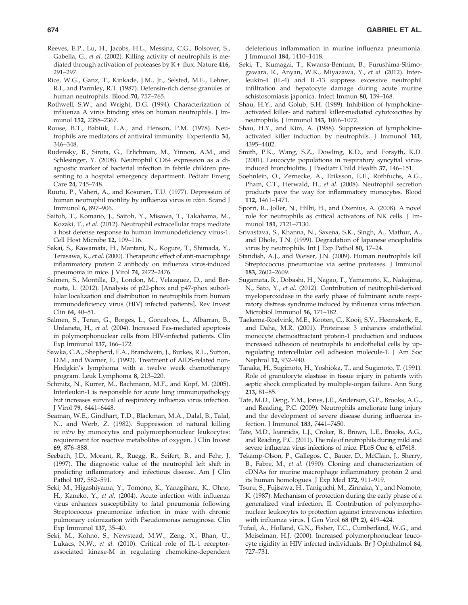- Reeves, E.P., Lu, H., Jacobs, H.L., Messina, C.G., Bolsover, S., Gabella, G., et al. (2002). Killing activity of neutrophils is mediated through activation of proteases by  $K + \text{flux}$ . Nature 416, 291–297.
- Rice, W.G., Ganz, T., Kinkade, J.M., Jr., Selsted, M.E., Lehrer, R.I., and Parmley, R.T. (1987). Defensin-rich dense granules of human neutrophils. Blood 70, 757–765.
- Rothwell, S.W., and Wright, D.G. (1994). Characterization of influenza A virus binding sites on human neutrophils. J Immunol 152, 2358–2367.
- Rouse, B.T., Babiuk, L.A., and Henson, P.M. (1978). Neutrophils are mediators of antiviral immunity. Experientia 34, 346–348.
- Rudensky, B., Sirota, G., Erlichman, M., Yinnon, A.M., and Schlesinger, Y. (2008). Neutrophil CD64 expression as a diagnostic marker of bacterial infection in febrile children presenting to a hospital emergency department. Pediatr Emerg Care 24, 745–748.
- Ruutu, P., Vaheri, A., and Kosunen, T.U. (1977). Depression of human neutrophil motility by influenza virus in vitro. Scand J Immunol 6, 897–906.
- Saitoh, T., Komano, J., Saitoh, Y., Misawa, T., Takahama, M., Kozaki, T., et al. (2012). Neutrophil extracellular traps mediate a host defense response to human immunodeficiency virus-1. Cell Host Microbe 12, 109–116.
- Sakai, S., Kawamata, H., Mantani, N., Kogure, T., Shimada, Y., Terasawa, K., et al. (2000). Therapeutic effect of anti-macrophage inflammatory protein 2 antibody on influenza virus-induced pneumonia in mice. J Virol 74, 2472–2476.
- Salmen, S., Montilla, D., London, M., Velazquez, D., and Berrueta, L. (2012). [Analysis of p22-phox and p47-phox subcellular localization and distribution in neutrophils from human immunodeficiency virus (HIV) infected patients]. Rev Invest Clin 64, 40–51.
- Salmen, S., Teran, G., Borges, L., Goncalves, L., Albarran, B., Urdaneta, H., et al. (2004). Increased Fas-mediated apoptosis in polymorphonuclear cells from HIV-infected patients. Clin Exp Immunol 137, 166–172.
- Sawka, C.A., Shepherd, F.A., Brandwein, J., Burkes, R.L., Sutton, D.M., and Warner, E. (1992). Treatment of AIDS-related non-Hodgkin's lymphoma with a twelve week chemotherapy program. Leuk Lymphoma 8, 213–220.
- Schmitz, N., Kurrer, M., Bachmann, M.F., and Kopf, M. (2005). Interleukin-1 is responsible for acute lung immunopathology but increases survival of respiratory influenza virus infection. J Virol 79, 6441–6448.
- Seaman, W.E., Gindhart, T.D., Blackman, M.A., Dalal, B., Talal, N., and Werb, Z. (1982). Suppression of natural killing in vitro by monocytes and polymorphonuclear leukocytes: requirement for reactive metabolites of oxygen. J Clin Invest 69, 876–888.
- Seebach, J.D., Morant, R., Ruegg, R., Seifert, B., and Fehr, J. (1997). The diagnostic value of the neutrophil left shift in predicting inflammatory and infectious disease. Am J Clin Pathol 107, 582–591.
- Seki, M., Higashiyama, Y., Tomono, K., Yanagihara, K., Ohno, H., Kaneko, Y., et al. (2004). Acute infection with influenza virus enhances susceptibility to fatal pneumonia following Streptococcus pneumoniae infection in mice with chronic pulmonary colonization with Pseudomonas aeruginosa. Clin Exp Immunol 137, 35–40.
- Seki, M., Kohno, S., Newstead, M.W., Zeng, X., Bhan, U., Lukacs, N.W., et al. (2010). Critical role of IL-1 receptorassociated kinase-M in regulating chemokine-dependent

deleterious inflammation in murine influenza pneumonia. J Immunol 184, 1410–1418.

- Seki, T., Kumagai, T., Kwansa-Bentum, B., Furushima-Shimogawara, R., Anyan, W.K., Miyazawa, Y., et al. (2012). Interleukin-4 (IL-4) and IL-13 suppress excessive neutrophil infiltration and hepatocyte damage during acute murine schistosomiasis japonica. Infect Immun 80, 159–168.
- Shau, H.Y., and Golub, S.H. (1989). Inhibition of lymphokineactivated killer- and natural killer-mediated cytotoxicities by neutrophils. J Immunol 143, 1066–1072.
- Shau, H.Y., and Kim, A. (1988). Suppression of lymphokineactivated killer induction by neutrophils. J Immunol 141, 4395–4402.
- Smith, P.K., Wang, S.Z., Dowling, K.D., and Forsyth, K.D. (2001). Leucocyte populations in respiratory syncytial virusinduced bronchiolitis. J Paediatr Child Health 37, 146–151.
- Soehnlein, O., Zernecke, A., Eriksson, E.E., Rothfuchs, A.G., Pham, C.T., Herwald, H., et al. (2008). Neutrophil secretion products pave the way for inflammatory monocytes. Blood 112, 1461–1471.
- Sporri, R., Joller, N., Hilbi, H., and Oxenius, A. (2008). A novel role for neutrophils as critical activators of NK cells. J Immunol 181, 7121–7130.
- Srivastava, S., Khanna, N., Saxena, S.K., Singh, A., Mathur, A., and Dhole, T.N. (1999). Degradation of Japanese encephalitis virus by neutrophils. Int J Exp Pathol 80, 17–24.
- Standish, A.J., and Weiser, J.N. (2009). Human neutrophils kill Streptococcus pneumoniae via serine proteases. J Immunol 183, 2602–2609.
- Sugamata, R., Dobashi, H., Nagao, T., Yamamoto, K., Nakajima, N., Sato, Y., et al. (2012). Contribution of neutrophil-derived myeloperoxidase in the early phase of fulminant acute respiratory distress syndrome induced by influenza virus infection. Microbiol Immunol 56, 171–182.
- Taekema-Roelvink, M.E., Kooten, C., Kooij, S.V., Heemskerk, E., and Daha, M.R. (2001). Proteinase 3 enhances endothelial monocyte chemoattractant protein-1 production and induces increased adhesion of neutrophils to endothelial cells by upregulating intercellular cell adhesion molecule-1. J Am Soc Nephrol 12, 932–940.
- Tanaka, H., Sugimoto, H., Yoshioka, T., and Sugimoto, T. (1991). Role of granulocyte elastase in tissue injury in patients with septic shock complicated by multiple-organ failure. Ann Surg 213, 81–85.
- Tate, M.D., Deng, Y.M., Jones, J.E., Anderson, G.P., Brooks, A.G., and Reading, P.C. (2009). Neutrophils ameliorate lung injury and the development of severe disease during influenza infection. J Immunol 183, 7441–7450.
- Tate, M.D., Ioannidis, L.J., Croker, B., Brown, L.E., Brooks, A.G., and Reading, P.C. (2011). The role of neutrophils during mild and severe influenza virus infections of mice. PLoS One 6, e17618.
- Tekamp-Olson, P., Gallegos, C., Bauer, D., McClain, J., Sherry, B., Fabre, M., et al. (1990). Cloning and characterization of cDNAs for murine macrophage inflammatory protein 2 and its human homologues. J Exp Med 172, 911–919.
- Tsuru, S., Fujisawa, H., Taniguchi, M., Zinnaka, Y., and Nomoto, K. (1987). Mechanism of protection during the early phase of a generalized viral infection. II. Contribution of polymorphonuclear leukocytes to protection against intravenous infection with influenza virus. J Gen Virol 68 (Pt 2), 419–424.
- Tufail, A., Holland, G.N., Fisher, T.C., Cumberland, W.G., and Meiselman, H.J. (2000). Increased polymorphonuclear leucocyte rigidity in HIV infected individuals. Br J Ophthalmol 84, 727–731.